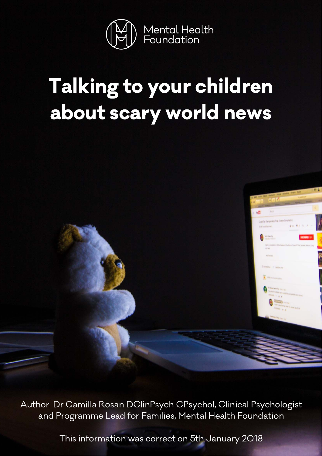

## Talking to your children about scary world news



Author: Dr Camilla Rosan DClinPsych CPsychol, Clinical Psychologist and Programme Lead for Families, Mental Health Foundation

This information was correct on 5th January 2018